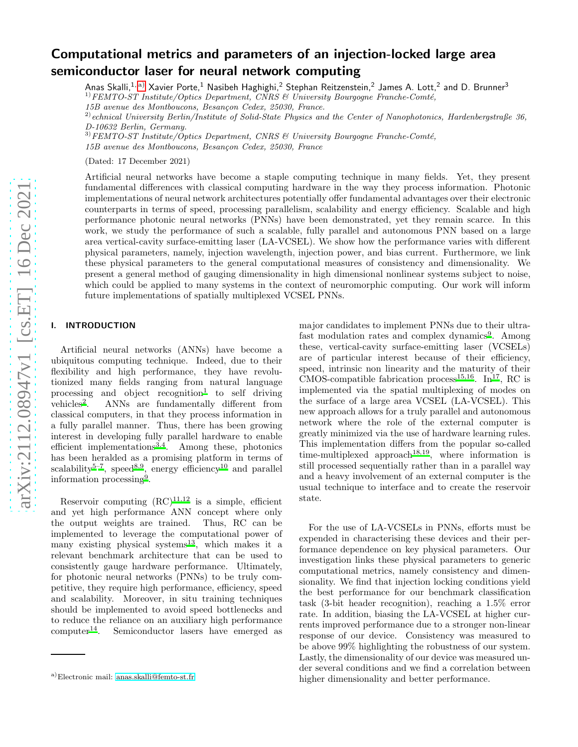# Computational metrics and parameters of an injection-locked large area semiconductor laser for neural network computing

Anas Skalli, $^{1,\,\mathrm{a)}}$  $^{1,\,\mathrm{a)}}$  $^{1,\,\mathrm{a)}}$  Xavier Porte, $^{1}$  Nasibeh Haghighi, $^{2}$  Stephan Reitzenstein, $^{2}$  James A. Lott, $^{2}$  and D. Brunner $^{3}$  $1) FEMTO-ST Institute/Optics Department, CNRS & University Bourgogne Franche-Comté,$ 

15B avenue des Montboucons, Besançon Cedex, 25030, France.

 $^{2)}$ echnical University Berlin/Institute of Solid-State Physics and the Center of Nanophotonics, Hardenbergstraße 36, D-10632 Berlin, Germany.

 $3) FEMTO-ST Institute/Optics Department, CNRS & University Bourgogne Franche-Comté,$ 15B avenue des Montboucons, Besançon Cedex, 25030, France

(Dated: 17 December 2021)

Artificial neural networks have become a staple computing technique in many fields. Yet, they present fundamental differences with classical computing hardware in the way they process information. Photonic implementations of neural network architectures potentially offer fundamental advantages over their electronic counterparts in terms of speed, processing parallelism, scalability and energy efficiency. Scalable and high performance photonic neural networks (PNNs) have been demonstrated, yet they remain scarce. In this work, we study the performance of such a scalable, fully parallel and autonomous PNN based on a large area vertical-cavity surface-emitting laser (LA-VCSEL). We show how the performance varies with different physical parameters, namely, injection wavelength, injection power, and bias current. Furthermore, we link these physical parameters to the general computational measures of consistency and dimensionality. We present a general method of gauging dimensionality in high dimensional nonlinear systems subject to noise, which could be applied to many systems in the context of neuromorphic computing. Our work will inform future implementations of spatially multiplexed VCSEL PNNs.

# I. INTRODUCTION

Artificial neural networks (ANNs) have become a ubiquitous computing technique. Indeed, due to their flexibility and high performance, they have revolutionized many fields ranging from natural language processing and object  $reognition<sup>1</sup>$  $reognition<sup>1</sup>$  $reognition<sup>1</sup>$  to self driving vehicles<sup>[2](#page-6-1)</sup>. . ANNs are fundamentally different from classical computers, in that they process information in a fully parallel manner. Thus, there has been growing interest in developing fully parallel hardware to enable efficient implementations $^{3,4}$  $^{3,4}$  $^{3,4}$  $^{3,4}$ . Among these, photonics has been heralded as a promising platform in terms of scalability<sup>[5](#page-6-4)[–7](#page-6-5)</sup>, speed<sup>[8](#page-6-6)[,9](#page-6-7)</sup>, energy efficiency<sup>[10](#page-6-8)</sup> and parallel information processing[9](#page-6-7) .

Reservoir computing  $(RC)^{11,12}$  $(RC)^{11,12}$  $(RC)^{11,12}$  $(RC)^{11,12}$  is a simple, efficient and yet high performance ANN concept where only the output weights are trained. Thus, RC can be implemented to leverage the computational power of many existing physical systems $^{13}$  $^{13}$  $^{13}$ , which makes it a relevant benchmark architecture that can be used to consistently gauge hardware performance. Ultimately, for photonic neural networks (PNNs) to be truly competitive, they require high performance, efficiency, speed and scalability. Moreover, in situ training techniques should be implemented to avoid speed bottlenecks and to reduce the reliance on an auxiliary high performance  $computer<sup>14</sup>$  $computer<sup>14</sup>$  $computer<sup>14</sup>$ . Semiconductor lasers have emerged as major candidates to implement PNNs due to their ultra-fast modulation rates and complex dynamics<sup>[9](#page-6-7)</sup>. Among these, vertical-cavity surface-emitting laser (VCSELs) are of particular interest because of their efficiency, speed, intrinsic non linearity and the maturity of their  $\overline{CMOS}$ -compatible fabrication process<sup>[15](#page-7-1)[,16](#page-7-2)</sup>. In<sup>[17](#page-7-3)</sup>, RC is implemented via the spatial multiplexing of modes on the surface of a large area VCSEL (LA-VCSEL). This new approach allows for a truly parallel and autonomous network where the role of the external computer is greatly minimized via the use of hardware learning rules. This implementation differs from the popular so-called time-multiplexed approach<sup>[18](#page-7-4)[,19](#page-7-5)</sup>, where information is still processed sequentially rather than in a parallel way and a heavy involvement of an external computer is the usual technique to interface and to create the reservoir state.

For the use of LA-VCSELs in PNNs, efforts must be expended in characterising these devices and their performance dependence on key physical parameters. Our investigation links these physical parameters to generic computational metrics, namely consistency and dimensionality. We find that injection locking conditions yield the best performance for our benchmark classification task (3-bit header recognition), reaching a 1.5% error rate. In addition, biasing the LA-VCSEL at higher currents improved performance due to a stronger non-linear response of our device. Consistency was measured to be above 99% highlighting the robustness of our system. Lastly, the dimensionality of our device was measured under several conditions and we find a correlation between higher dimensionality and better performance.

<span id="page-0-0"></span>a)Electronic mail: [anas.skalli@femto-st.fr](mailto:anas.skalli@femto-st.fr)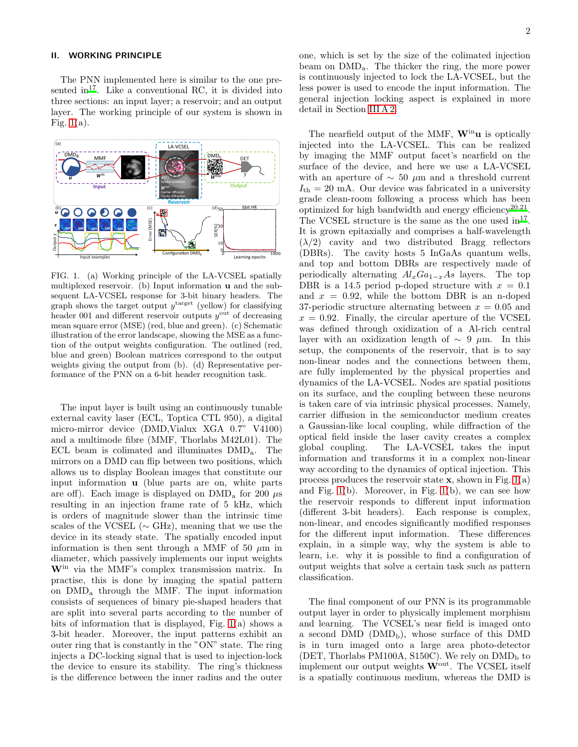## II. WORKING PRINCIPLE

The PNN implemented here is similar to the one pre-sented in<sup>[17](#page-7-3)</sup>. Like a conventional RC, it is divided into three sections: an input layer; a reservoir; and an output layer. The working principle of our system is shown in Fig.  $1(a)$ .



<span id="page-1-0"></span>FIG. 1. (a) Working principle of the LA-VCSEL spatially multiplexed reservoir. (b) Input information u and the subsequent LA-VCSEL response for 3-bit binary headers. The graph shows the target output  $y^{\text{target}}$  (yellow) for classifying header 001 and different reservoir outputs  $y^{\text{out}}$  of decreasing mean square error (MSE) (red, blue and green). (c) Schematic illustration of the error landscape, showing the MSE as a function of the output weights configuration. The outlined (red, blue and green) Boolean matrices correspond to the output weights giving the output from (b). (d) Representative performance of the PNN on a 6-bit header recognition task.

The input layer is built using an continuously tunable external cavity laser (ECL, Toptica CTL 950), a digital micro-mirror device (DMD,Vialux XGA 0.7" V4100) and a multimode fibre (MMF, Thorlabs M42L01). The ECL beam is colimated and illuminates DMDa. The mirrors on a DMD can flip between two positions, which allows us to display Boolean images that constitute our input information u (blue parts are on, white parts are off). Each image is displayed on  $\rm{DMD}_a$  for 200  $\mu$ s resulting in an injection frame rate of 5 kHz, which is orders of magnitude slower than the intrinsic time scales of the VCSEL ( $\sim$  GHz), meaning that we use the device in its steady state. The spatially encoded input information is then sent through a MMF of 50  $\mu$ m in diameter, which passively implements our input weights Win via the MMF's complex transmission matrix. In practise, this is done by imaging the spatial pattern on DMD<sup>a</sup> through the MMF. The input information consists of sequences of binary pie-shaped headers that are split into several parts according to the number of bits of information that is displayed, Fig. [1\(](#page-1-0)a) shows a 3-bit header. Moreover, the input patterns exhibit an outer ring that is constantly in the "ON" state. The ring injects a DC-locking signal that is used to injection-lock the device to ensure its stability. The ring's thickness is the difference between the inner radius and the outer

one, which is set by the size of the colimated injection beam on DMDa. The thicker the ring, the more power is continuously injected to lock the LA-VCSEL, but the less power is used to encode the input information. The general injection locking aspect is explained in more detail in Section [III A 2.](#page-3-0)

The nearfield output of the MMF,  $W^{in}u$  is optically injected into the LA-VCSEL. This can be realized by imaging the MMF output facet's nearfield on the surface of the device, and here we use a LA-VCSEL with an aperture of  $\sim$  50 µm and a threshold current  $I_{\text{th}} = 20$  mA. Our device was fabricated in a university grade clean-room following a process which has been optimized for high bandwidth and energy efficiency<sup>[20](#page-7-6)[,21](#page-7-7)</sup>. The VCSEL structure is the same as the one used  $in^{17}$  $in^{17}$  $in^{17}$ . It is grown epitaxially and comprises a half-wavelength  $(\lambda/2)$  cavity and two distributed Bragg reflectors (DBRs). The cavity hosts 5 InGaAs quantum wells, and top and bottom DBRs are respectively made of periodically alternating  $Al_xGa_{1-x}As$  layers. The top DBR is a 14.5 period p-doped structure with  $x = 0.1$ and  $x = 0.92$ , while the bottom DBR is an n-doped 37-periodic structure alternating between  $x = 0.05$  and  $x = 0.92$ . Finally, the circular aperture of the VCSEL was defined through oxidization of a Al-rich central layer with an oxidization length of  $\sim 9 \mu m$ . In this setup, the components of the reservoir, that is to say non-linear nodes and the connections between them, are fully implemented by the physical properties and dynamics of the LA-VCSEL. Nodes are spatial positions on its surface, and the coupling between these neurons is taken care of via intrinsic physical processes. Namely, carrier diffusion in the semiconductor medium creates a Gaussian-like local coupling, while diffraction of the optical field inside the laser cavity creates a complex global coupling. The LA-VCSEL takes the input information and transforms it in a complex non-linear way according to the dynamics of optical injection. This process produces the reservoir state  $x$ , shown in Fig. [1\(](#page-1-0)a) and Fig.  $1(b)$ . Moreover, in Fig.  $1(b)$ , we can see how the reservoir responds to different input information (different 3-bit headers). Each response is complex, non-linear, and encodes significantly modified responses for the different input information. These differences explain, in a simple way, why the system is able to learn, i.e. why it is possible to find a configuration of output weights that solve a certain task such as pattern classification.

The final component of our PNN is its programmable output layer in order to physically implement morphism and learning. The VCSEL's near field is imaged onto a second DMD  $(DMD_b)$ , whose surface of this DMD is in turn imaged onto a large area photo-detector (DET, Thorlabs PM100A, S150C). We rely on  $\rm DMD_{b}$  to implement our output weights  $W<sup>out</sup>$ . The VCSEL itself is a spatially continuous medium, whereas the DMD is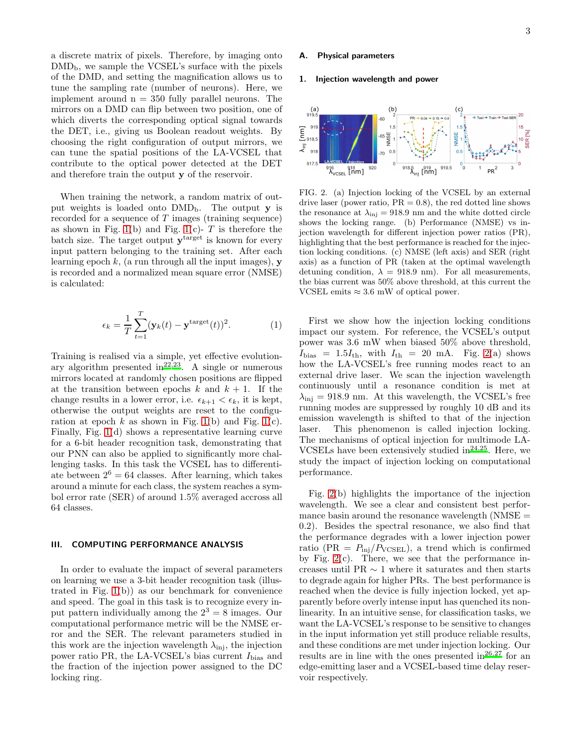a discrete matrix of pixels. Therefore, by imaging onto  $\rm DMD_b$ , we sample the VCSEL's surface with the pixels of the DMD, and setting the magnification allows us to tune the sampling rate (number of neurons). Here, we implement around  $n = 350$  fully parallel neurons. The mirrors on a DMD can flip between two position, one of which diverts the corresponding optical signal towards the DET, i.e., giving us Boolean readout weights. By choosing the right configuration of output mirrors, we can tune the spatial positions of the LA-VCSEL that contribute to the optical power detected at the DET and therefore train the output y of the reservoir.

When training the network, a random matrix of output weights is loaded onto  $DMD_b$ . The output y is recorded for a sequence of  $T$  images (training sequence) as shown in Fig. [1\(](#page-1-0)b) and Fig. 1(c)-  $T$  is therefore the batch size. The target output  $y^{target}$  is known for every input pattern belonging to the training set. After each learning epoch  $k$ , (a run through all the input images),  $\bf{v}$ is recorded and a normalized mean square error (NMSE) is calculated:

$$
\epsilon_k = \frac{1}{T} \sum_{t=1}^T (\mathbf{y}_k(t) - \mathbf{y}^{\text{target}}(t))^2.
$$
 (1)

Training is realised via a simple, yet effective evolutionary algorithm presented in  $2^{2,23}$  $2^{2,23}$  $2^{2,23}$ . A single or numerous mirrors located at randomly chosen positions are flipped at the transition between epochs  $k$  and  $k + 1$ . If the change results in a lower error, i.e.  $\epsilon_{k+1} < \epsilon_k$ , it is kept, otherwise the output weights are reset to the configuration at epoch  $k$  as shown in Fig. [1\(](#page-1-0)b) and Fig. 1(c). Finally, Fig. [1\(](#page-1-0)d) shows a representative learning curve for a 6-bit header recognition task, demonstrating that our PNN can also be applied to significantly more challenging tasks. In this task the VCSEL has to differentiate between  $2^6 = 64$  classes. After learning, which takes around a minute for each class, the system reaches a symbol error rate (SER) of around 1.5% averaged accross all 64 classes.

# III. COMPUTING PERFORMANCE ANALYSIS

In order to evaluate the impact of several parameters on learning we use a 3-bit header recognition task (illustrated in Fig.  $1(b)$  as our benchmark for convenience and speed. The goal in this task is to recognize every input pattern individually among the  $2^3 = 8$  images. Our computational performance metric will be the NMSE error and the SER. The relevant parameters studied in this work are the injection wavelength  $\lambda_{\text{inj}}$ , the injection power ratio PR, the LA-VCSEL's bias current  $I_{\text{bias}}$  and the fraction of the injection power assigned to the DC locking ring.

# **Physical parameters**

#### 1. Injection wavelength and power



<span id="page-2-0"></span>FIG. 2. (a) Injection locking of the VCSEL by an external drive laser (power ratio,  $PR = 0.8$ ), the red dotted line shows the resonance at  $\lambda_{\text{inj}} = 918.9$  nm and the white dotted circle shows the locking range. (b) Performance (NMSE) vs injection wavelength for different injection power ratios (PR), highlighting that the best performance is reached for the injection locking conditions. (c) NMSE (left axis) and SER (right axis) as a function of PR (taken at the optimal wavelength detuning condition,  $\lambda = 918.9$  nm). For all measurements, the bias current was 50% above threshold, at this current the VCSEL emits  $\approx 3.6$  mW of optical power.

First we show how the injection locking conditions impact our system. For reference, the VCSEL's output power was 3.6 mW when biased 50% above threshold,  $I<sub>bias</sub> = 1.5I<sub>th</sub>$ , with  $I<sub>th</sub> = 20$  mA. Fig. [2\(](#page-2-0)a) shows how the LA-VCSEL's free running modes react to an external drive laser. We scan the injection wavelength continuously until a resonance condition is met at  $\lambda_{\rm inj} = 918.9$  nm. At this wavelength, the VCSEL's free running modes are suppressed by roughly 10 dB and its emission wavelength is shifted to that of the injection laser. This phenomenon is called injection locking. The mechanisms of optical injection for multimode LA-VCSELs have been extensively studied in $^{24,25}$  $^{24,25}$  $^{24,25}$  $^{24,25}$ . Here, we study the impact of injection locking on computational performance.

Fig. [2\(](#page-2-0)b) highlights the importance of the injection wavelength. We see a clear and consistent best performance basin around the resonance wavelength  $(NMSE =$ 0.2). Besides the spectral resonance, we also find that the performance degrades with a lower injection power ratio (PR =  $P_{\text{inj}}/P_{\text{VCSEL}}$ ), a trend which is confirmed by Fig.  $2(c)$ . There, we see that the performance increases until PR ∼ 1 where it saturates and then starts to degrade again for higher PRs. The best performance is reached when the device is fully injection locked, yet apparently before overly intense input has quenched its nonlinearity. In an intuitive sense, for classification tasks, we want the LA-VCSEL's response to be sensitive to changes in the input information yet still produce reliable results, and these conditions are met under injection locking. Our results are in line with the ones presented in  $26.27$  $26.27$  for an edge-emitting laser and a VCSEL-based time delay reservoir respectively.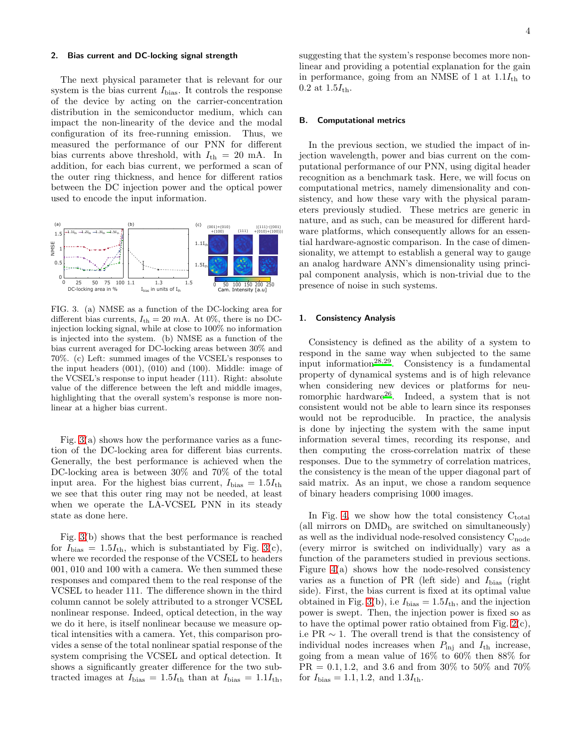#### <span id="page-3-0"></span>2. Bias current and DC-locking signal strength

The next physical parameter that is relevant for our system is the bias current  $I_{\text{bias}}$ . It controls the response of the device by acting on the carrier-concentration distribution in the semiconductor medium, which can impact the non-linearity of the device and the modal configuration of its free-running emission. Thus, we measured the performance of our PNN for different bias currents above threshold, with  $I_{\text{th}} = 20 \text{ mA}$ . In addition, for each bias current, we performed a scan of the outer ring thickness, and hence for different ratios between the DC injection power and the optical power used to encode the input information.



<span id="page-3-1"></span>FIG. 3. (a) NMSE as a function of the DC-locking area for different bias currents,  $I_{\text{th}} = 20$  mA. At 0%, there is no DCinjection locking signal, while at close to 100% no information is injected into the system. (b) NMSE as a function of the bias current averaged for DC-locking areas between 30% and 70%. (c) Left: summed images of the VCSEL's responses to the input headers (001), (010) and (100). Middle: image of the VCSEL's response to input header (111). Right: absolute value of the difference between the left and middle images, highlighting that the overall system's response is more nonlinear at a higher bias current.

Fig.  $3(a)$  shows how the performance varies as a function of the DC-locking area for different bias currents. Generally, the best performance is achieved when the DC-locking area is between 30% and 70% of the total input area. For the highest bias current,  $I_{\text{bias}} = 1.5I_{\text{th}}$ we see that this outer ring may not be needed, at least when we operate the LA-VCSEL PNN in its steady state as done here.

Fig. [3\(](#page-3-1)b) shows that the best performance is reached for  $I_{\text{bias}} = 1.5I_{\text{th}}$ , which is substantiated by Fig. [3\(](#page-3-1)c), where we recorded the response of the VCSEL to headers 001, 010 and 100 with a camera. We then summed these responses and compared them to the real response of the VCSEL to header 111. The difference shown in the third column cannot be solely attributed to a stronger VCSEL nonlinear response. Indeed, optical detection, in the way we do it here, is itself nonlinear because we measure optical intensities with a camera. Yet, this comparison provides a sense of the total nonlinear spatial response of the system comprising the VCSEL and optical detection. It shows a significantly greater difference for the two subtracted images at  $I_{bias} = 1.5I_{th}$  than at  $I_{bias} = 1.1I_{th}$ , suggesting that the system's response becomes more nonlinear and providing a potential explanation for the gain in performance, going from an NMSE of 1 at  $1.1I_{th}$  to 0.2 at  $1.5I_{\text{th}}$ .

#### B. Computational metrics

In the previous section, we studied the impact of injection wavelength, power and bias current on the computational performance of our PNN, using digital header recognition as a benchmark task. Here, we will focus on computational metrics, namely dimensionality and consistency, and how these vary with the physical parameters previously studied. These metrics are generic in nature, and as such, can be measured for different hardware platforms, which consequently allows for an essential hardware-agnostic comparison. In the case of dimensionality, we attempt to establish a general way to gauge an analog hardware ANN's dimensionality using principal component analysis, which is non-trivial due to the presence of noise in such systems.

#### 1. Consistency Analysis

Consistency is defined as the ability of a system to respond in the same way when subjected to the same input information<sup>[28](#page-7-14)[,29](#page-7-15)</sup>. Consistency is a fundamental property of dynamical systems and is of high relevance when considering new devices or platforms for neu-romorphic hardware<sup>[26](#page-7-12)</sup>. Indeed, a system that is not consistent would not be able to learn since its responses would not be reproducible. In practice, the analysis is done by injecting the system with the same input information several times, recording its response, and then computing the cross-correlation matrix of these responses. Due to the symmetry of correlation matrices, the consistency is the mean of the upper diagonal part of said matrix. As an input, we chose a random sequence of binary headers comprising 1000 images.

In Fig. [4,](#page-4-0) we show how the total consistency  $C_{total}$ (all mirrors on  $\rm{DMD}_b$  are switched on simultaneously) as well as the individual node-resolved consistency  $C_{\text{node}}$ (every mirror is switched on individually) vary as a function of the parameters studied in previous sections. Figure [4\(](#page-4-0)a) shows how the node-resolved consistency varies as a function of PR (left side) and  $I_{\text{bias}}$  (right side). First, the bias current is fixed at its optimal value obtained in Fig. [3\(](#page-3-1)b), i.e  $I_{bias} = 1.5I_{th}$ , and the injection power is swept. Then, the injection power is fixed so as to have the optimal power ratio obtained from Fig. [2\(](#page-2-0)c), i.e PR  $\sim$  1. The overall trend is that the consistency of individual nodes increases when  $P_{\text{inj}}$  and  $I_{\text{th}}$  increase, going from a mean value of 16% to 60% then 88% for  $PR = 0.1, 1.2,$  and 3.6 and from 30% to 50% and 70% for  $I_{bias} = 1.1, 1.2, \text{ and } 1.3I_{th}$ .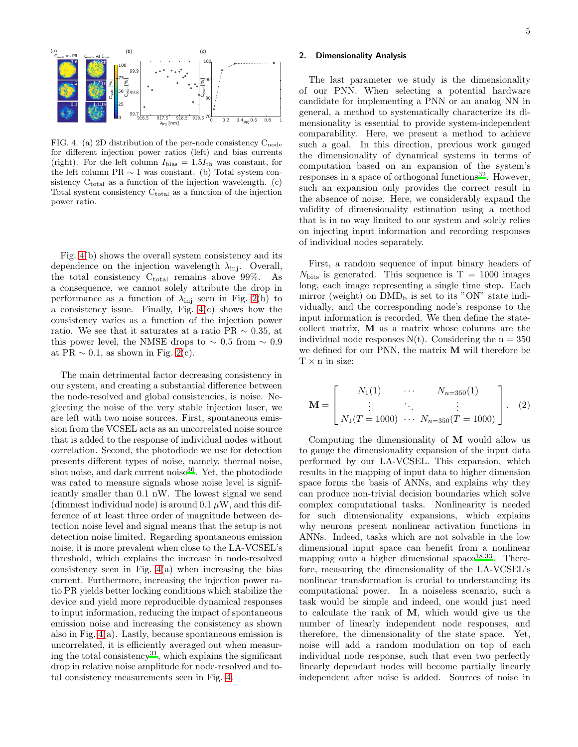70

0 0.2 0.4 0.6 0.8 1 PR

<span id="page-4-0"></span>FIG. 4. (a) 2D distribution of the per-node consistency  $\mathrm{C_{node}}$ for different injection power ratios (left) and bias currents (right). For the left column  $I_{\text{bias}} = 1.5I_{\text{th}}$  was constant, for the left column PR ∼ 1 was constant. (b) Total system consistency  $C_{total}$  as a function of the injection wavelength. (c) Total system consistency  $C_{total}$  as a function of the injection power ratio.

916.5 917.5 918.5 919.5

 $\lambda_{\mathsf{inj}}$  [nm]

99.7

0

Fig. [4\(](#page-4-0)b) shows the overall system consistency and its dependence on the injection wavelength  $\lambda_{\text{inj}}$ . Overall, the total consistency  $C_{total}$  remains above 99%. As a consequence, we cannot solely attribute the drop in performance as a function of  $\lambda_{\text{inj}}$  seen in Fig. [2\(](#page-2-0)b) to a consistency issue. Finally, Fig. [4\(](#page-4-0)c) shows how the consistency varies as a function of the injection power ratio. We see that it saturates at a ratio PR  $\sim 0.35$ , at this power level, the NMSE drops to  $\sim 0.5$  from  $\sim 0.9$ at PR  $\sim$  0.1, as shown in Fig. [2\(](#page-2-0)c).

The main detrimental factor decreasing consistency in our system, and creating a substantial difference between the node-resolved and global consistencies, is noise. Neglecting the noise of the very stable injection laser, we are left with two noise sources. First, spontaneous emission from the VCSEL acts as an uncorrelated noise source that is added to the response of individual nodes without correlation. Second, the photodiode we use for detection presents different types of noise, namely, thermal noise, shot noise, and dark current noise<sup>[30](#page-7-16)</sup>. Yet, the photodiode was rated to measure signals whose noise level is significantly smaller than 0.1 nW. The lowest signal we send (dimmest individual node) is around  $0.1 \mu W$ , and this difference of at least three order of magnitude between detection noise level and signal means that the setup is not detection noise limited. Regarding spontaneous emission noise, it is more prevalent when close to the LA-VCSEL's threshold, which explains the increase in node-resolved consistency seen in Fig.  $4(a)$  when increasing the bias current. Furthermore, increasing the injection power ratio PR yields better locking conditions which stabilize the device and yield more reproducible dynamical responses to input information, reducing the impact of spontaneous emission noise and increasing the consistency as shown also in Fig. [4\(](#page-4-0)a). Lastly, because spontaneous emission is uncorrelated, it is efficiently averaged out when measur-ing the total consistency<sup>[31](#page-7-17)</sup>, which explains the significant drop in relative noise amplitude for node-resolved and total consistency measurements seen in Fig. [4.](#page-4-0)

5

## 2. Dimensionality Analysis

The last parameter we study is the dimensionality of our PNN. When selecting a potential hardware candidate for implementing a PNN or an analog NN in general, a method to systematically characterize its dimensionality is essential to provide system-independent comparability. Here, we present a method to achieve such a goal. In this direction, previous work gauged the dimensionality of dynamical systems in terms of computation based on an expansion of the system's responses in a space of orthogonal functions<sup>[32](#page-7-18)</sup>. However, such an expansion only provides the correct result in the absence of noise. Here, we considerably expand the validity of dimensionality estimation using a method that is in no way limited to our system and solely relies on injecting input information and recording responses of individual nodes separately.

First, a random sequence of input binary headers of  $N_{\text{bits}}$  is generated. This sequence is T = 1000 images long, each image representing a single time step. Each mirror (weight) on  $\rm{DMD}_b$  is set to its "ON" state individually, and the corresponding node's response to the input information is recorded. We then define the statecollect matrix, M as a matrix whose columns are the individual node responses  $N(t)$ . Considering the  $n = 350$ we defined for our PNN, the matrix M will therefore be  $T \times n$  in size:

$$
\mathbf{M} = \begin{bmatrix} N_1(1) & \cdots & N_{n=350}(1) \\ \vdots & \ddots & \vdots \\ N_1(T = 1000) & \cdots & N_{n=350}(T = 1000) \end{bmatrix} . \tag{2}
$$

Computing the dimensionality of M would allow us to gauge the dimensionality expansion of the input data performed by our LA-VCSEL. This expansion, which results in the mapping of input data to higher dimension space forms the basis of ANNs, and explains why they can produce non-trivial decision boundaries which solve complex computational tasks. Nonlinearity is needed for such dimensionality expansions, which explains why neurons present nonlinear activation functions in ANNs. Indeed, tasks which are not solvable in the low dimensional input space can benefit from a nonlinear mapping onto a higher dimensional space<sup>[18](#page-7-4)[,33](#page-7-19)</sup>. Therefore, measuring the dimensionality of the LA-VCSEL's nonlinear transformation is crucial to understanding its computational power. In a noiseless scenario, such a task would be simple and indeed, one would just need to calculate the rank of M, which would give us the number of linearly independent node responses, and therefore, the dimensionality of the state space. Yet, noise will add a random modulation on top of each individual node response, such that even two perfectly linearly dependant nodes will become partially linearly independent after noise is added. Sources of noise in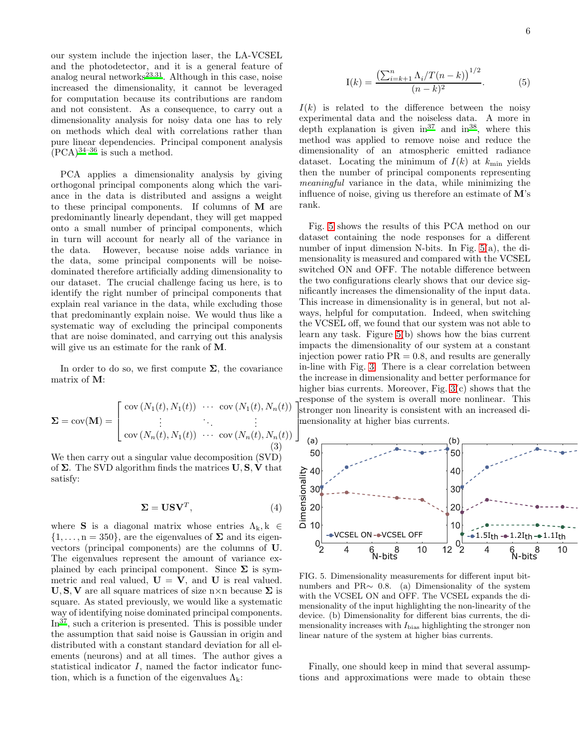our system include the injection laser, the LA-VCSEL and the photodetector, and it is a general feature of analog neural networks $^{23,31}$  $^{23,31}$  $^{23,31}$  $^{23,31}$ . Although in this case, noise increased the dimensionality, it cannot be leveraged for computation because its contributions are random and not consistent. As a consequence, to carry out a dimensionality analysis for noisy data one has to rely on methods which deal with correlations rather than pure linear dependencies. Principal component analysis  $(PCA)^{34-36}$  $(PCA)^{34-36}$  $(PCA)^{34-36}$  is such a method.

PCA applies a dimensionality analysis by giving orthogonal principal components along which the variance in the data is distributed and assigns a weight to these principal components. If columns of M are predominantly linearly dependant, they will get mapped onto a small number of principal components, which in turn will account for nearly all of the variance in the data. However, because noise adds variance in the data, some principal components will be noisedominated therefore artificially adding dimensionality to our dataset. The crucial challenge facing us here, is to identify the right number of principal components that explain real variance in the data, while excluding those that predominantly explain noise. We would thus like a systematic way of excluding the principal components that are noise dominated, and carrying out this analysis will give us an estimate for the rank of M.

In order to do so, we first compute  $\Sigma$ , the covariance matrix of M:

$$
\Sigma = \text{cov}(\mathbf{M}) = \begin{bmatrix} \text{cov}(N_1(t), N_1(t)) & \cdots & \text{cov}(N_1(t), N_n(t)) \\ \vdots & \ddots & \vdots \\ \text{cov}(N_n(t), N_1(t)) & \cdots & \text{cov}(N_n(t), N_n(t)) \\ 3 \end{bmatrix}
$$

We then carry out a singular value decomposition (SVD) of  $\Sigma$ . The SVD algorithm finds the matrices  $U, S, V$  that satisfy:

$$
\Sigma = \mathbf{U}\mathbf{S}\mathbf{V}^T,\tag{4}
$$

where **S** is a diagonal matrix whose entries  $\Lambda_k, k \in$  $\{1,\ldots,n=350\}$ , are the eigenvalues of  $\Sigma$  and its eigenvectors (principal components) are the columns of U. The eigenvalues represent the amount of variance explained by each principal component. Since  $\Sigma$  is symmetric and real valued,  $U = V$ , and U is real valued.  $U, S, V$  are all square matrices of size n×n because  $\Sigma$  is square. As stated previously, we would like a systematic way of identifying noise dominated principal components.  $In^{37}$  $In^{37}$  $In^{37}$ , such a criterion is presented. This is possible under the assumption that said noise is Gaussian in origin and distributed with a constant standard deviation for all elements (neurons) and at all times. The author gives a statistical indicator I, named the factor indicator function, which is a function of the eigenvalues  $\Lambda_k$ :

$$
I(k) = \frac{\left(\sum_{i=k+1}^{n} \Lambda_i / T(n-k)\right)^{1/2}}{(n-k)^2}.
$$
 (5)

 $I(k)$  is related to the difference between the noisy experimental data and the noiseless data. A more in depth explanation is given  $in^{37}$  $in^{37}$  $in^{37}$  and  $in^{38}$  $in^{38}$  $in^{38}$ , where this method was applied to remove noise and reduce the dimensionality of an atmospheric emitted radiance dataset. Locating the minimum of  $I(k)$  at  $k_{\text{min}}$  yields then the number of principal components representing meaningful variance in the data, while minimizing the influence of noise, giving us therefore an estimate of M's rank.

stronger non linearity is consistent with an increased di- . mensionality at higher bias currents. Fig. [5](#page-5-0) shows the results of this PCA method on our dataset containing the node responses for a different number of input dimension N-bits. In Fig. [5\(](#page-5-0)a), the dimensionality is measured and compared with the VCSEL switched ON and OFF. The notable difference between the two configurations clearly shows that our device significantly increases the dimensionality of the input data. This increase in dimensionality is in general, but not always, helpful for computation. Indeed, when switching the VCSEL off, we found that our system was not able to learn any task. Figure [5\(](#page-5-0)b) shows how the bias current impacts the dimensionality of our system at a constant injection power ratio  $PR = 0.8$ , and results are generally in-line with Fig. [3.](#page-3-1) There is a clear correlation between the increase in dimensionality and better performance for higher bias currents. Moreover, Fig. [3\(](#page-3-1)c) shows that the response of the system is overall more nonlinear. This



<span id="page-5-0"></span>FIG. 5. Dimensionality measurements for different input bitnumbers and PR∼ 0.8. (a) Dimensionality of the system with the VCSEL ON and OFF. The VCSEL expands the dimensionality of the input highlighting the non-linearity of the device. (b) Dimensionality for different bias currents, the dimensionality increases with  $I_{\text{bias}}$  highlighting the stronger non linear nature of the system at higher bias currents.

Finally, one should keep in mind that several assumptions and approximations were made to obtain these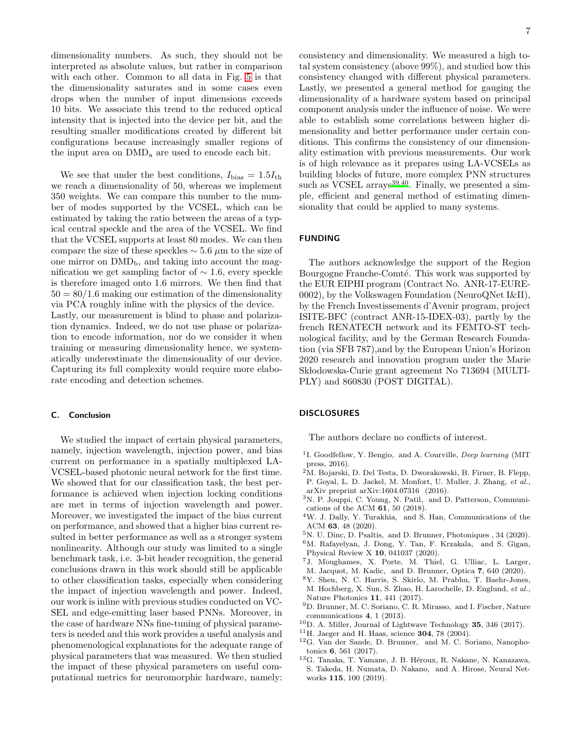dimensionality numbers. As such, they should not be interpreted as absolute values, but rather in comparison with each other. Common to all data in Fig. [5](#page-5-0) is that the dimensionality saturates and in some cases even drops when the number of input dimensions exceeds 10 bits. We associate this trend to the reduced optical intensity that is injected into the device per bit, and the resulting smaller modifications created by different bit configurations because increasingly smaller regions of the input area on DMD<sup>a</sup> are used to encode each bit.

We see that under the best conditions,  $I_{bias} = 1.5I_{th}$ we reach a dimensionality of 50, whereas we implement 350 weights. We can compare this number to the number of modes supported by the VCSEL, which can be estimated by taking the ratio between the areas of a typical central speckle and the area of the VCSEL. We find that the VCSEL supports at least 80 modes. We can then compare the size of these speckles  $\sim$  5.6  $\mu$ m to the size of one mirror on  $\text{DMD}_b$ , and taking into account the magnification we get sampling factor of  $\sim$  1.6, every speckle is therefore imaged onto 1.6 mirrors. We then find that  $50 = 80/1.6$  making our estimation of the dimensionality via PCA roughly inline with the physics of the device. Lastly, our measurement is blind to phase and polarization dynamics. Indeed, we do not use phase or polarization to encode information, nor do we consider it when training or measuring dimensionality hence, we systematically underestimate the dimensionality of our device. Capturing its full complexity would require more elaborate encoding and detection schemes.

## C. Conclusion

We studied the impact of certain physical parameters, namely, injection wavelength, injection power, and bias current on performance in a spatially multiplexed LA-VCSEL-based photonic neural network for the first time. We showed that for our classification task, the best performance is achieved when injection locking conditions are met in terms of injection wavelength and power. Moreover, we investigated the impact of the bias current on performance, and showed that a higher bias current resulted in better performance as well as a stronger system nonlinearity. Although our study was limited to a single benchmark task, i.e. 3-bit header recognition, the general conclusions drawn in this work should still be applicable to other classification tasks, especially when considering the impact of injection wavelength and power. Indeed, our work is inline with previous studies conducted on VC-SEL and edge-emitting laser based PNNs. Moreover, in the case of hardware NNs fine-tuning of physical parameters is needed and this work provides a useful analysis and phenomenological explanations for the adequate range of physical parameters that was measured. We then studied the impact of these physical parameters on useful computational metrics for neuromorphic hardware, namely: consistency and dimensionality. We measured a high total system consistency (above 99%), and studied how this consistency changed with different physical parameters. Lastly, we presented a general method for gauging the dimensionality of a hardware system based on principal component analysis under the influence of noise. We were able to establish some correlations between higher dimensionality and better performance under certain conditions. This confirms the consistency of our dimensionality estimation with previous measurements. Our work is of high relevance as it prepares using LA-VCSELs as building blocks of future, more complex PNN structures such as VCSEL  $\arctan 39,40$  $\arctan 39,40$  $\arctan 39,40$ . Finally, we presented a simple, efficient and general method of estimating dimensionality that could be applied to many systems.

## FUNDING

The authors acknowledge the support of the Region Bourgogne Franche-Comté. This work was supported by the EUR EIPHI program (Contract No. ANR-17-EURE-0002), by the Volkswagen Foundation (NeuroQNet I&II), by the French Investissements d'Avenir program, project ISITE-BFC (contract ANR-15-IDEX-03), partly by the french RENATECH network and its FEMTO-ST technological facility, and by the German Research Foundation (via SFB 787),and by the European Union's Horizon 2020 research and innovation program under the Marie Sk lodowska-Curie grant agreement No 713694 (MULTI-PLY) and 860830 (POST DIGITAL).

# DISCLOSURES

The authors declare no conflicts of interest.

- <span id="page-6-0"></span><sup>1</sup>I. Goodfellow, Y. Bengio, and A. Courville, Deep learning (MIT press, 2016).
- <span id="page-6-1"></span><sup>2</sup>M. Bojarski, D. Del Testa, D. Dworakowski, B. Firner, B. Flepp, P. Goyal, L. D. Jackel, M. Monfort, U. Muller, J. Zhang, et al., arXiv preprint arXiv:1604.07316 (2016).
- <span id="page-6-2"></span><sup>3</sup>N. P. Jouppi, C. Young, N. Patil, and D. Patterson, Communications of the ACM 61, 50 (2018).
- <span id="page-6-3"></span><sup>4</sup>W. J. Dally, Y. Turakhia, and S. Han, Communications of the ACM 63, 48 (2020).
- <span id="page-6-4"></span><sup>5</sup>N. U. Dinc, D. Psaltis, and D. Brunner, Photoniques , 34 (2020).
- <sup>6</sup>M. Rafayelyan, J. Dong, Y. Tan, F. Krzakala, and S. Gigan, Physical Review X 10, 041037 (2020).
- <span id="page-6-5"></span><sup>7</sup>J. Moughames, X. Porte, M. Thiel, G. Ulliac, L. Larger, M. Jacquot, M. Kadic, and D. Brunner, Optica 7, 640 (2020).
- <span id="page-6-6"></span><sup>8</sup>Y. Shen, N. C. Harris, S. Skirlo, M. Prabhu, T. Baehr-Jones, M. Hochberg, X. Sun, S. Zhao, H. Larochelle, D. Englund, et al., Nature Photonics 11, 441 (2017).
- <span id="page-6-7"></span><sup>9</sup>D. Brunner, M. C. Soriano, C. R. Mirasso, and I. Fischer, Nature communications 4, 1 (2013).
- <span id="page-6-8"></span> $10$ D. A. Miller, Journal of Lightwave Technology 35, 346 (2017).
- <span id="page-6-9"></span> $11H.$  Jaeger and H. Haas, science 304, 78 (2004).
- <span id="page-6-10"></span><sup>12</sup>G. Van der Sande, D. Brunner, and M. C. Soriano, Nanophotonics 6, 561 (2017).
- <span id="page-6-11"></span> $^{13}$ G. Tanaka, T. Yamane, J. B. Héroux, R. Nakane, N. Kanazawa, S. Takeda, H. Numata, D. Nakano, and A. Hirose, Neural Networks 115, 100 (2019).